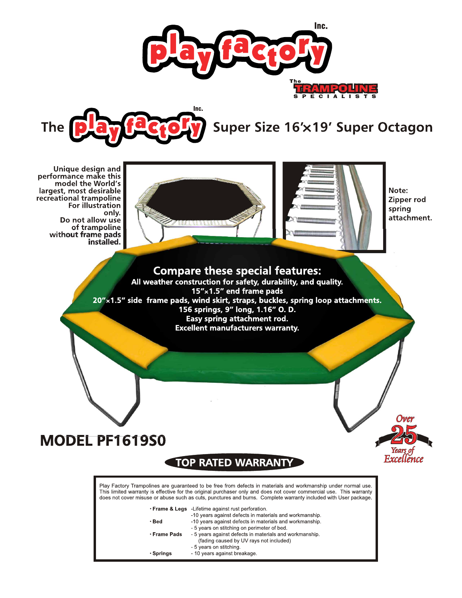



Note:

spring

Zipper rod

attachment.

Over

Fxcellence

Unique design and performance make this model the World's largest, most desirable recreational trampoline For illustration only. Do not allow use of trampoline without frame pads installed.





# MODEL PF1619S0

# **TOP RATED WARRANT**

Play Factory Trampolines are guaranteed to be free from defects in materials and workmanship under normal use. This limited warranty is effective for the original purchaser only and does not cover commercial use. This warranty does not cover misuse or abuse such as cuts, punctures and burns. Complete warranty included with User package.

. Frame & Legs -Lifetime against rust perforation

|              | -10 years against defects in materials and workmanship. |
|--------------|---------------------------------------------------------|
| • Bed        | -10 years against defects in materials and workmanship. |
|              | - 5 years on stitching on perimeter of bed.             |
| ∙ Frame Pads | - 5 years against defects in materials and workmanship. |
|              | (fading caused by UV rays not included)                 |
|              | - 5 years on stitching.                                 |
| • Springs    | - 10 years against breakage.                            |
|              |                                                         |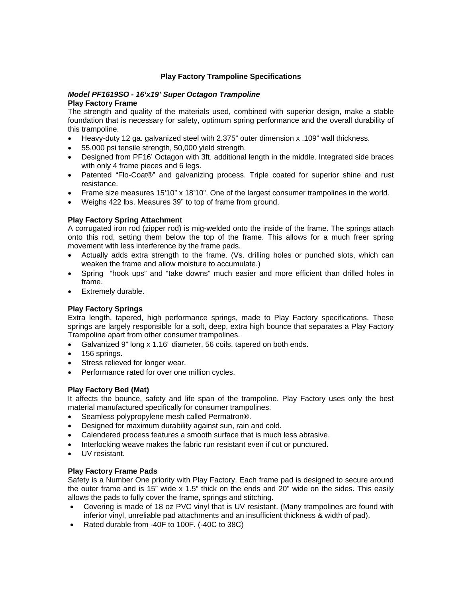# **Play Factory Trampoline Specifications**

#### *Model PF1619SO - 16'x19' Super Octagon Trampoline*  **Play Factory Frame**

The strength and quality of the materials used, combined with superior design, make a stable foundation that is necessary for safety, optimum spring performance and the overall durability of this trampoline.

- Heavy-duty 12 ga. galvanized steel with 2.375" outer dimension x .109" wall thickness.
- 55,000 psi tensile strength, 50,000 yield strength.
- Designed from PF16' Octagon with 3ft. additional length in the middle. Integrated side braces with only 4 frame pieces and 6 legs.
- Patented "Flo-Coat®" and galvanizing process. Triple coated for superior shine and rust resistance.
- Frame size measures 15'10" x 18'10". One of the largest consumer trampolines in the world.
- Weighs 422 lbs. Measures 39" to top of frame from ground.

### **Play Factory Spring Attachment**

A corrugated iron rod (zipper rod) is mig-welded onto the inside of the frame. The springs attach onto this rod, setting them below the top of the frame. This allows for a much freer spring movement with less interference by the frame pads.

- Actually adds extra strength to the frame. (Vs. drilling holes or punched slots, which can weaken the frame and allow moisture to accumulate.)
- Spring "hook ups" and "take downs" much easier and more efficient than drilled holes in frame.
- Extremely durable.

# **Play Factory Springs**

Extra length, tapered, high performance springs, made to Play Factory specifications. These springs are largely responsible for a soft, deep, extra high bounce that separates a Play Factory Trampoline apart from other consumer trampolines.

- Galvanized 9" long x 1.16" diameter, 56 coils, tapered on both ends.
- 156 springs.
- Stress relieved for longer wear.
- Performance rated for over one million cycles.

#### **Play Factory Bed (Mat)**

It affects the bounce, safety and life span of the trampoline. Play Factory uses only the best material manufactured specifically for consumer trampolines.

- Seamless polypropylene mesh called Permatron®.
- Designed for maximum durability against sun, rain and cold.
- Calendered process features a smooth surface that is much less abrasive.
- Interlocking weave makes the fabric run resistant even if cut or punctured.
- UV resistant.

#### **Play Factory Frame Pads**

Safety is a Number One priority with Play Factory. Each frame pad is designed to secure around the outer frame and is 15" wide x 1.5" thick on the ends and 20" wide on the sides. This easily allows the pads to fully cover the frame, springs and stitching.

- Covering is made of 18 oz PVC vinyl that is UV resistant. (Many trampolines are found with inferior vinyl, unreliable pad attachments and an insufficient thickness & width of pad).
- Rated durable from -40F to 100F. (-40C to 38C)